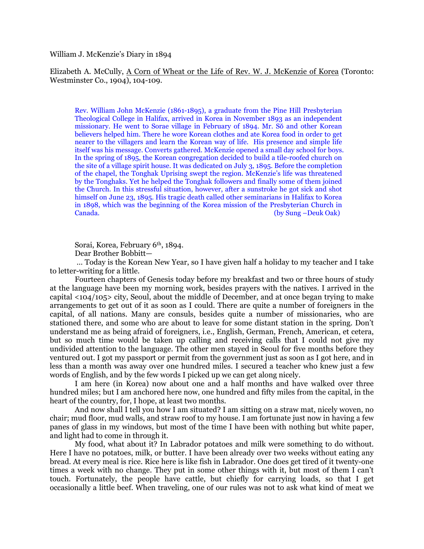William J. McKenzie's Diary in 1894

Elizabeth A. McCully, A Corn of Wheat or the Life of Rev. W. J. McKenzie of Korea (Toronto: Westminster Co., 1904), 104-109.

Rev. William John McKenzie (1861-1895), a graduate from the Pine Hill Presbyterian Theological College in Halifax, arrived in Korea in November 1893 as an independent missionary. He went to Sorae village in February of 1894. Mr. Sŏ and other Korean believers helped him. There he wore Korean clothes and ate Korea food in order to get nearer to the villagers and learn the Korean way of life. His presence and simple life itself was his message. Converts gathered. McKenzie opened a small day school for boys. In the spring of 1895, the Korean congregation decided to build a tile-roofed church on the site of a village spirit house. It was dedicated on July 3, 1895. Before the completion of the chapel, the Tonghak Uprising swept the region. McKenzie's life was threatened by the Tonghaks. Yet he helped the Tonghak followers and finally some of them joined the Church. In this stressful situation, however, after a sunstroke he got sick and shot himself on June 23, 1895. His tragic death called other seminarians in Halifax to Korea in 1898, which was the beginning of the Korea mission of the Presbyterian Church in Canada. (by Sung –Deuk Oak)

Sorai, Korea, February 6<sup>th</sup>, 1894.

Dear Brother Bobbitt—

 … Today is the Korean New Year, so I have given half a holiday to my teacher and I take to letter-writing for a little.

Fourteen chapters of Genesis today before my breakfast and two or three hours of study at the language have been my morning work, besides prayers with the natives. I arrived in the capital <104/105> city, Seoul, about the middle of December, and at once began trying to make arrangements to get out of it as soon as I could. There are quite a number of foreigners in the capital, of all nations. Many are consuls, besides quite a number of missionaries, who are stationed there, and some who are about to leave for some distant station in the spring. Don't understand me as being afraid of foreigners, i.e., English, German, French, American, et cetera, but so much time would be taken up calling and receiving calls that I could not give my undivided attention to the language. The other men stayed in Seoul for five months before they ventured out. I got my passport or permit from the government just as soon as I got here, and in less than a month was away over one hundred miles. I secured a teacher who knew just a few words of English, and by the few words I picked up we can get along nicely.

I am here (in Korea) now about one and a half months and have walked over three hundred miles; but I am anchored here now, one hundred and fifty miles from the capital, in the heart of the country, for, I hope, at least two months.

And now shall I tell you how I am situated? I am sitting on a straw mat, nicely woven, no chair; mud floor, mud walls, and straw roof to my house. I am fortunate just now in having a few panes of glass in my windows, but most of the time I have been with nothing but white paper, and light had to come in through it.

My food, what about it? In Labrador potatoes and milk were something to do without. Here I have no potatoes, milk, or butter. I have been already over two weeks without eating any bread. At every meal is rice. Rice here is like fish in Labrador. One does get tired of it twenty-one times a week with no change. They put in some other things with it, but most of them I can't touch. Fortunately, the people have cattle, but chiefly for carrying loads, so that I get occasionally a little beef. When traveling, one of our rules was not to ask what kind of meat we